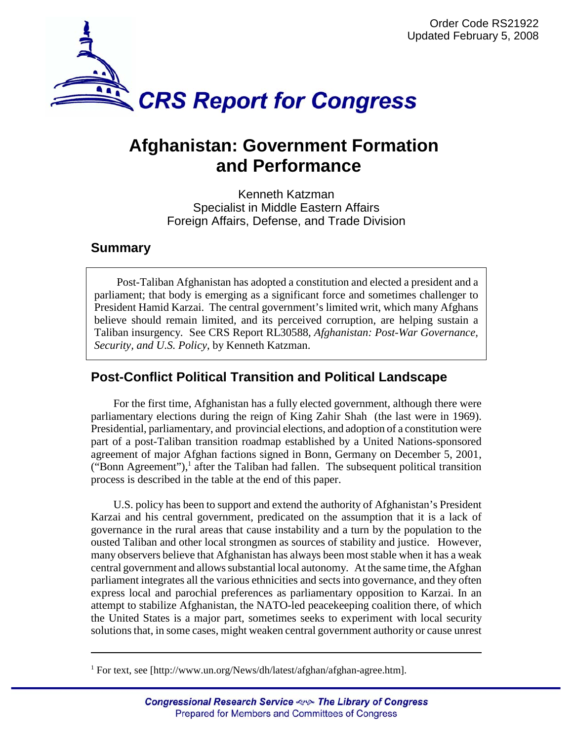

# **Afghanistan: Government Formation and Performance**

Kenneth Katzman Specialist in Middle Eastern Affairs Foreign Affairs, Defense, and Trade Division

## **Summary**

Post-Taliban Afghanistan has adopted a constitution and elected a president and a parliament; that body is emerging as a significant force and sometimes challenger to President Hamid Karzai. The central government's limited writ, which many Afghans believe should remain limited, and its perceived corruption, are helping sustain a Taliban insurgency. See CRS Report RL30588, *Afghanistan: Post-War Governance, Security, and U.S. Policy*, by Kenneth Katzman.

## **Post-Conflict Political Transition and Political Landscape**

For the first time, Afghanistan has a fully elected government, although there were parliamentary elections during the reign of King Zahir Shah (the last were in 1969). Presidential, parliamentary, and provincial elections, and adoption of a constitution were part of a post-Taliban transition roadmap established by a United Nations-sponsored agreement of major Afghan factions signed in Bonn, Germany on December 5, 2001, ("Bonn Agreement"),<sup>1</sup> after the Taliban had fallen. The subsequent political transition process is described in the table at the end of this paper.

U.S. policy has been to support and extend the authority of Afghanistan's President Karzai and his central government, predicated on the assumption that it is a lack of governance in the rural areas that cause instability and a turn by the population to the ousted Taliban and other local strongmen as sources of stability and justice. However, many observers believe that Afghanistan has always been most stable when it has a weak central government and allows substantial local autonomy. At the same time, the Afghan parliament integrates all the various ethnicities and sects into governance, and they often express local and parochial preferences as parliamentary opposition to Karzai. In an attempt to stabilize Afghanistan, the NATO-led peacekeeping coalition there, of which the United States is a major part, sometimes seeks to experiment with local security solutions that, in some cases, might weaken central government authority or cause unrest

<sup>&</sup>lt;sup>1</sup> For text, see [http://www.un.org/News/dh/latest/afghan/afghan-agree.htm].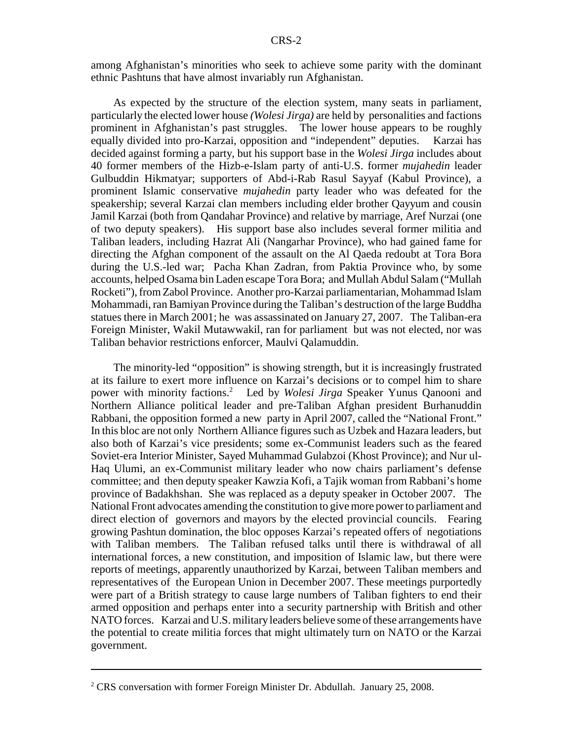among Afghanistan's minorities who seek to achieve some parity with the dominant ethnic Pashtuns that have almost invariably run Afghanistan.

As expected by the structure of the election system, many seats in parliament, particularly the elected lower house *(Wolesi Jirga)* are held by personalities and factions prominent in Afghanistan's past struggles. The lower house appears to be roughly equally divided into pro-Karzai, opposition and "independent" deputies. Karzai has decided against forming a party, but his support base in the *Wolesi Jirga* includes about 40 former members of the Hizb-e-Islam party of anti-U.S. former *mujahedin* leader Gulbuddin Hikmatyar; supporters of Abd-i-Rab Rasul Sayyaf (Kabul Province), a prominent Islamic conservative *mujahedin* party leader who was defeated for the speakership; several Karzai clan members including elder brother Qayyum and cousin Jamil Karzai (both from Qandahar Province) and relative by marriage, Aref Nurzai (one of two deputy speakers). His support base also includes several former militia and Taliban leaders, including Hazrat Ali (Nangarhar Province), who had gained fame for directing the Afghan component of the assault on the Al Qaeda redoubt at Tora Bora during the U.S.-led war; Pacha Khan Zadran, from Paktia Province who, by some accounts, helped Osama bin Laden escape Tora Bora; and Mullah Abdul Salam ("Mullah Rocketi"), from Zabol Province. Another pro-Karzai parliamentarian, Mohammad Islam Mohammadi, ran Bamiyan Province during the Taliban's destruction of the large Buddha statues there in March 2001; he was assassinated on January 27, 2007. The Taliban-era Foreign Minister, Wakil Mutawwakil, ran for parliament but was not elected, nor was Taliban behavior restrictions enforcer, Maulvi Qalamuddin.

The minority-led "opposition" is showing strength, but it is increasingly frustrated at its failure to exert more influence on Karzai's decisions or to compel him to share power with minority factions.<sup>2</sup> Led by *Wolesi Jirga* Speaker Yunus Qanooni and Northern Alliance political leader and pre-Taliban Afghan president Burhanuddin Rabbani, the opposition formed a new party in April 2007, called the "National Front." In this bloc are not only Northern Alliance figures such as Uzbek and Hazara leaders, but also both of Karzai's vice presidents; some ex-Communist leaders such as the feared Soviet-era Interior Minister, Sayed Muhammad Gulabzoi (Khost Province); and Nur ul-Haq Ulumi, an ex-Communist military leader who now chairs parliament's defense committee; and then deputy speaker Kawzia Kofi, a Tajik woman from Rabbani's home province of Badakhshan. She was replaced as a deputy speaker in October 2007. The National Front advocates amending the constitution to give more power to parliament and direct election of governors and mayors by the elected provincial councils. Fearing growing Pashtun domination, the bloc opposes Karzai's repeated offers of negotiations with Taliban members. The Taliban refused talks until there is withdrawal of all international forces, a new constitution, and imposition of Islamic law, but there were reports of meetings, apparently unauthorized by Karzai, between Taliban members and representatives of the European Union in December 2007. These meetings purportedly were part of a British strategy to cause large numbers of Taliban fighters to end their armed opposition and perhaps enter into a security partnership with British and other NATO forces. Karzai and U.S. military leaders believe some of these arrangements have the potential to create militia forces that might ultimately turn on NATO or the Karzai government.

 $2^2$  CRS conversation with former Foreign Minister Dr. Abdullah. January 25, 2008.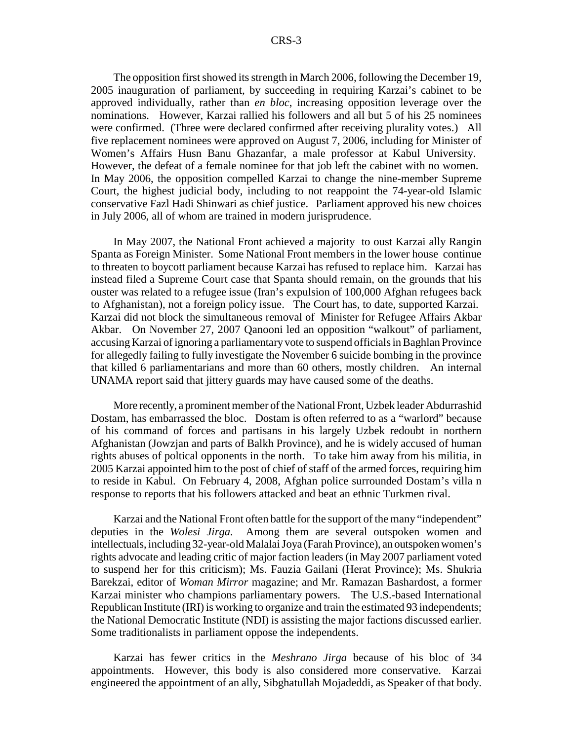The opposition first showed its strength in March 2006, following the December 19, 2005 inauguration of parliament, by succeeding in requiring Karzai's cabinet to be approved individually, rather than *en bloc*, increasing opposition leverage over the nominations. However, Karzai rallied his followers and all but 5 of his 25 nominees were confirmed. (Three were declared confirmed after receiving plurality votes.) All five replacement nominees were approved on August 7, 2006, including for Minister of Women's Affairs Husn Banu Ghazanfar, a male professor at Kabul University. However, the defeat of a female nominee for that job left the cabinet with no women. In May 2006, the opposition compelled Karzai to change the nine-member Supreme Court, the highest judicial body, including to not reappoint the 74-year-old Islamic conservative Fazl Hadi Shinwari as chief justice. Parliament approved his new choices in July 2006, all of whom are trained in modern jurisprudence.

In May 2007, the National Front achieved a majority to oust Karzai ally Rangin Spanta as Foreign Minister. Some National Front members in the lower house continue to threaten to boycott parliament because Karzai has refused to replace him. Karzai has instead filed a Supreme Court case that Spanta should remain, on the grounds that his ouster was related to a refugee issue (Iran's expulsion of 100,000 Afghan refugees back to Afghanistan), not a foreign policy issue. The Court has, to date, supported Karzai. Karzai did not block the simultaneous removal of Minister for Refugee Affairs Akbar Akbar. On November 27, 2007 Qanooni led an opposition "walkout" of parliament, accusing Karzai of ignoring a parliamentary vote to suspend officials in Baghlan Province for allegedly failing to fully investigate the November 6 suicide bombing in the province that killed 6 parliamentarians and more than 60 others, mostly children. An internal UNAMA report said that jittery guards may have caused some of the deaths.

More recently, a prominent member of the National Front, Uzbek leader Abdurrashid Dostam, has embarrassed the bloc. Dostam is often referred to as a "warlord" because of his command of forces and partisans in his largely Uzbek redoubt in northern Afghanistan (Jowzjan and parts of Balkh Province), and he is widely accused of human rights abuses of poltical opponents in the north. To take him away from his militia, in 2005 Karzai appointed him to the post of chief of staff of the armed forces, requiring him to reside in Kabul. On February 4, 2008, Afghan police surrounded Dostam's villa n response to reports that his followers attacked and beat an ethnic Turkmen rival.

Karzai and the National Front often battle for the support of the many "independent" deputies in the *Wolesi Jirga.* Among them are several outspoken women and intellectuals, including 32-year-old Malalai Joya (Farah Province), an outspoken women's rights advocate and leading critic of major faction leaders (in May 2007 parliament voted to suspend her for this criticism); Ms. Fauzia Gailani (Herat Province); Ms. Shukria Barekzai, editor of *Woman Mirror* magazine; and Mr. Ramazan Bashardost, a former Karzai minister who champions parliamentary powers. The U.S.-based International Republican Institute (IRI) is working to organize and train the estimated 93 independents; the National Democratic Institute (NDI) is assisting the major factions discussed earlier. Some traditionalists in parliament oppose the independents.

Karzai has fewer critics in the *Meshrano Jirga* because of his bloc of 34 appointments. However, this body is also considered more conservative. Karzai engineered the appointment of an ally, Sibghatullah Mojadeddi, as Speaker of that body.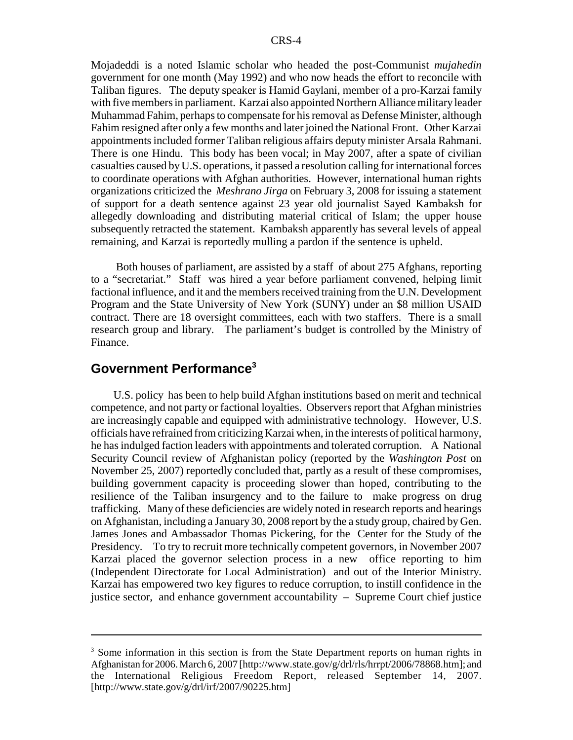Mojadeddi is a noted Islamic scholar who headed the post-Communist *mujahedin* government for one month (May 1992) and who now heads the effort to reconcile with Taliban figures. The deputy speaker is Hamid Gaylani, member of a pro-Karzai family with five members in parliament. Karzai also appointed Northern Alliance military leader Muhammad Fahim, perhaps to compensate for his removal as Defense Minister, although Fahim resigned after only a few months and later joined the National Front. Other Karzai appointments included former Taliban religious affairs deputy minister Arsala Rahmani. There is one Hindu. This body has been vocal; in May 2007, after a spate of civilian casualties caused by U.S. operations, it passed a resolution calling for international forces to coordinate operations with Afghan authorities. However, international human rights organizations criticized the *Meshrano Jirga* on February 3, 2008 for issuing a statement of support for a death sentence against 23 year old journalist Sayed Kambaksh for allegedly downloading and distributing material critical of Islam; the upper house subsequently retracted the statement. Kambaksh apparently has several levels of appeal remaining, and Karzai is reportedly mulling a pardon if the sentence is upheld.

 Both houses of parliament, are assisted by a staff of about 275 Afghans, reporting to a "secretariat." Staff was hired a year before parliament convened, helping limit factional influence, and it and the members received training from the U.N. Development Program and the State University of New York (SUNY) under an \$8 million USAID contract. There are 18 oversight committees, each with two staffers. There is a small research group and library. The parliament's budget is controlled by the Ministry of Finance.

#### **Government Performance<sup>3</sup>**

U.S. policy has been to help build Afghan institutions based on merit and technical competence, and not party or factional loyalties. Observers report that Afghan ministries are increasingly capable and equipped with administrative technology. However, U.S. officials have refrained from criticizing Karzai when, in the interests of political harmony, he has indulged faction leaders with appointments and tolerated corruption. A National Security Council review of Afghanistan policy (reported by the *Washington Post* on November 25, 2007) reportedly concluded that, partly as a result of these compromises, building government capacity is proceeding slower than hoped, contributing to the resilience of the Taliban insurgency and to the failure to make progress on drug trafficking. Many of these deficiencies are widely noted in research reports and hearings on Afghanistan, including a January 30, 2008 report by the a study group, chaired by Gen. James Jones and Ambassador Thomas Pickering, for the Center for the Study of the Presidency. To try to recruit more technically competent governors, in November 2007 Karzai placed the governor selection process in a new office reporting to him (Independent Directorate for Local Administration) and out of the Interior Ministry. Karzai has empowered two key figures to reduce corruption, to instill confidence in the justice sector, and enhance government accountability – Supreme Court chief justice

<sup>&</sup>lt;sup>3</sup> Some information in this section is from the State Department reports on human rights in Afghanistan for 2006. March 6, 2007 [http://www.state.gov/g/drl/rls/hrrpt/2006/78868.htm]; and the International Religious Freedom Report, released September 14, 2007. [http://www.state.gov/g/drl/irf/2007/90225.htm]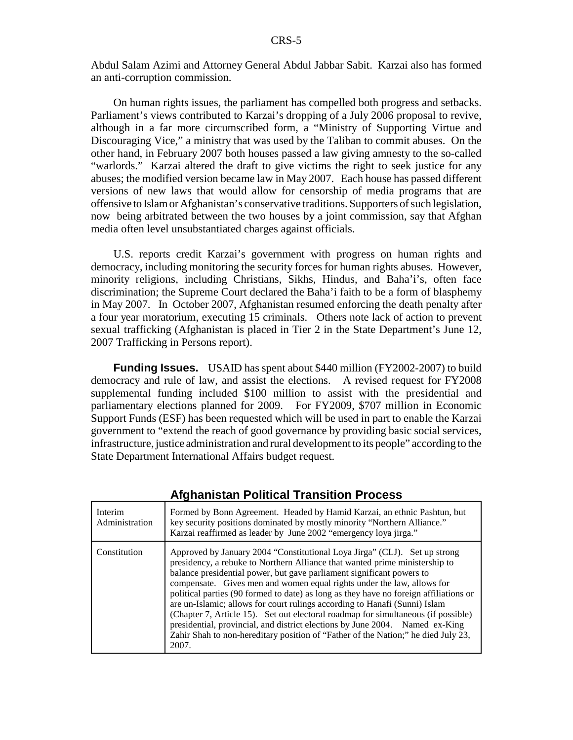Abdul Salam Azimi and Attorney General Abdul Jabbar Sabit. Karzai also has formed an anti-corruption commission.

On human rights issues, the parliament has compelled both progress and setbacks. Parliament's views contributed to Karzai's dropping of a July 2006 proposal to revive, although in a far more circumscribed form, a "Ministry of Supporting Virtue and Discouraging Vice," a ministry that was used by the Taliban to commit abuses. On the other hand, in February 2007 both houses passed a law giving amnesty to the so-called "warlords." Karzai altered the draft to give victims the right to seek justice for any abuses; the modified version became law in May 2007. Each house has passed different versions of new laws that would allow for censorship of media programs that are offensive to Islam or Afghanistan's conservative traditions. Supporters of such legislation, now being arbitrated between the two houses by a joint commission, say that Afghan media often level unsubstantiated charges against officials.

U.S. reports credit Karzai's government with progress on human rights and democracy, including monitoring the security forces for human rights abuses. However, minority religions, including Christians, Sikhs, Hindus, and Baha'i's, often face discrimination; the Supreme Court declared the Baha'i faith to be a form of blasphemy in May 2007. In October 2007, Afghanistan resumed enforcing the death penalty after a four year moratorium, executing 15 criminals. Others note lack of action to prevent sexual trafficking (Afghanistan is placed in Tier 2 in the State Department's June 12, 2007 Trafficking in Persons report).

**Funding Issues.** USAID has spent about \$440 million (FY2002-2007) to build democracy and rule of law, and assist the elections. A revised request for FY2008 supplemental funding included \$100 million to assist with the presidential and parliamentary elections planned for 2009. For FY2009, \$707 million in Economic Support Funds (ESF) has been requested which will be used in part to enable the Karzai government to "extend the reach of good governance by providing basic social services, infrastructure, justice administration and rural development to its people" according to the State Department International Affairs budget request.

| Interim<br>Administration | Formed by Bonn Agreement. Headed by Hamid Karzai, an ethnic Pashtun, but<br>key security positions dominated by mostly minority "Northern Alliance."<br>Karzai reaffirmed as leader by June 2002 "emergency loya jirga."                                                                                                                                                                                                                                                                                                                                                                                                                                                                                                                              |
|---------------------------|-------------------------------------------------------------------------------------------------------------------------------------------------------------------------------------------------------------------------------------------------------------------------------------------------------------------------------------------------------------------------------------------------------------------------------------------------------------------------------------------------------------------------------------------------------------------------------------------------------------------------------------------------------------------------------------------------------------------------------------------------------|
| Constitution              | Approved by January 2004 "Constitutional Loya Jirga" (CLJ). Set up strong<br>presidency, a rebuke to Northern Alliance that wanted prime ministership to<br>balance presidential power, but gave parliament significant powers to<br>compensate. Gives men and women equal rights under the law, allows for<br>political parties (90 formed to date) as long as they have no foreign affiliations or<br>are un-Islamic; allows for court rulings according to Hanafi (Sunni) Islam<br>(Chapter 7, Article 15). Set out electoral roadmap for simultaneous (if possible)<br>presidential, provincial, and district elections by June 2004. Named ex-King<br>Zahir Shah to non-hereditary position of "Father of the Nation;" he died July 23,<br>2007. |

### **Afghanistan Political Transition Process**